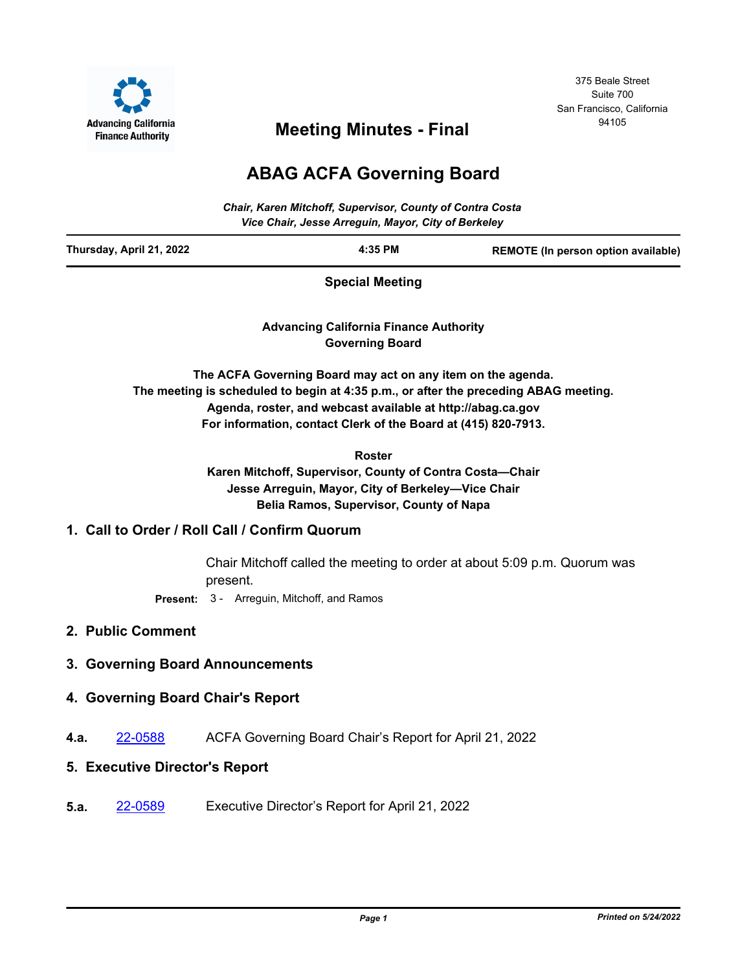

375 Beale Street Suite 700 San Francisco, California

# <sup>94105</sup> **Meeting Minutes - Final**

## **ABAG ACFA Governing Board**

| <b>Chair, Karen Mitchoff, Supervisor, County of Contra Costa</b><br>Vice Chair, Jesse Arreguin, Mayor, City of Berkeley |         |                                     |
|-------------------------------------------------------------------------------------------------------------------------|---------|-------------------------------------|
| Thursday, April 21, 2022                                                                                                | 4:35 PM | REMOTE (In person option available) |
| Contabilities of the set of the set                                                                                     |         |                                     |

**Special Meeting**

**Advancing California Finance Authority Governing Board**

**The ACFA Governing Board may act on any item on the agenda. The meeting is scheduled to begin at 4:35 p.m., or after the preceding ABAG meeting. Agenda, roster, and webcast available at http://abag.ca.gov For information, contact Clerk of the Board at (415) 820-7913.**

```
Roster
```
**Karen Mitchoff, Supervisor, County of Contra Costa—Chair Jesse Arreguin, Mayor, City of Berkeley—Vice Chair Belia Ramos, Supervisor, County of Napa**

### **1. Call to Order / Roll Call / Confirm Quorum**

Chair Mitchoff called the meeting to order at about 5:09 p.m. Quorum was present.

**Present:** 3 - Arreguin, Mitchoff, and Ramos

- **2. Public Comment**
- **3. Governing Board Announcements**
- **4. Governing Board Chair's Report**
- **4.a.** [22-0588](http://mtc.legistar.com/gateway.aspx?m=l&id=/matter.aspx?key=23847) ACFA Governing Board Chair's Report for April 21, 2022

### **5. Executive Director's Report**

**5.a.** [22-0589](http://mtc.legistar.com/gateway.aspx?m=l&id=/matter.aspx?key=23848) Executive Director's Report for April 21, 2022